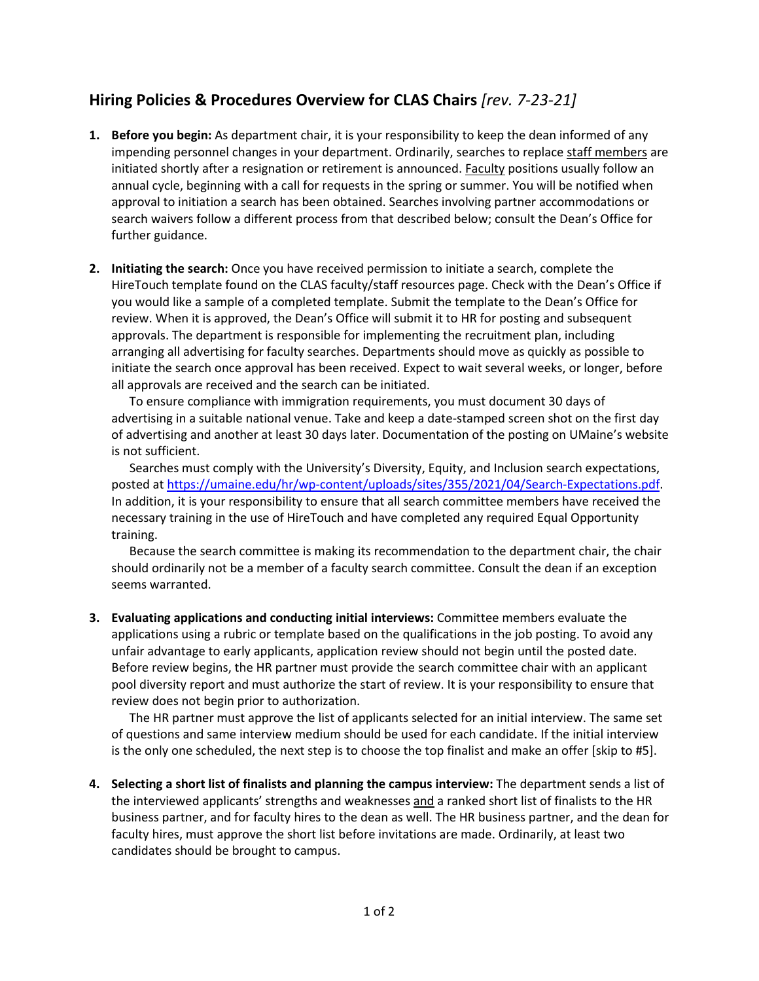## **Hiring Policies & Procedures Overview for CLAS Chairs** *[rev. 7-23-21]*

- **1. Before you begin:** As department chair, it is your responsibility to keep the dean informed of any impending personnel changes in your department. Ordinarily, searches to replace staff members are initiated shortly after a resignation or retirement is announced. Faculty positions usually follow an annual cycle, beginning with a call for requests in the spring or summer. You will be notified when approval to initiation a search has been obtained. Searches involving partner accommodations or search waivers follow a different process from that described below; consult the Dean's Office for further guidance.
- **2. Initiating the search:** Once you have received permission to initiate a search, complete the HireTouch template found on the CLAS faculty/staff resources page. Check with the Dean's Office if you would like a sample of a completed template. Submit the template to the Dean's Office for review. When it is approved, the Dean's Office will submit it to HR for posting and subsequent approvals. The department is responsible for implementing the recruitment plan, including arranging all advertising for faculty searches. Departments should move as quickly as possible to initiate the search once approval has been received. Expect to wait several weeks, or longer, before all approvals are received and the search can be initiated.

To ensure compliance with immigration requirements, you must document 30 days of advertising in a suitable national venue. Take and keep a date-stamped screen shot on the first day of advertising and another at least 30 days later. Documentation of the posting on UMaine's website is not sufficient.

Searches must comply with the University's Diversity, Equity, and Inclusion search expectations, posted a[t https://umaine.edu/hr/wp-content/uploads/sites/355/2021/04/Search-Expectations.pdf.](https://umaine.edu/hr/wp-content/uploads/sites/355/2021/04/Search-Expectations.pdf) In addition, it is your responsibility to ensure that all search committee members have received the necessary training in the use of HireTouch and have completed any required Equal Opportunity training.

Because the search committee is making its recommendation to the department chair, the chair should ordinarily not be a member of a faculty search committee. Consult the dean if an exception seems warranted.

**3. Evaluating applications and conducting initial interviews:** Committee members evaluate the applications using a rubric or template based on the qualifications in the job posting. To avoid any unfair advantage to early applicants, application review should not begin until the posted date. Before review begins, the HR partner must provide the search committee chair with an applicant pool diversity report and must authorize the start of review. It is your responsibility to ensure that review does not begin prior to authorization.

The HR partner must approve the list of applicants selected for an initial interview. The same set of questions and same interview medium should be used for each candidate. If the initial interview is the only one scheduled, the next step is to choose the top finalist and make an offer [skip to #5].

**4. Selecting a short list of finalists and planning the campus interview:** The department sends a list of the interviewed applicants' strengths and weaknesses and a ranked short list of finalists to the HR business partner, and for faculty hires to the dean as well. The HR business partner, and the dean for faculty hires, must approve the short list before invitations are made. Ordinarily, at least two candidates should be brought to campus.